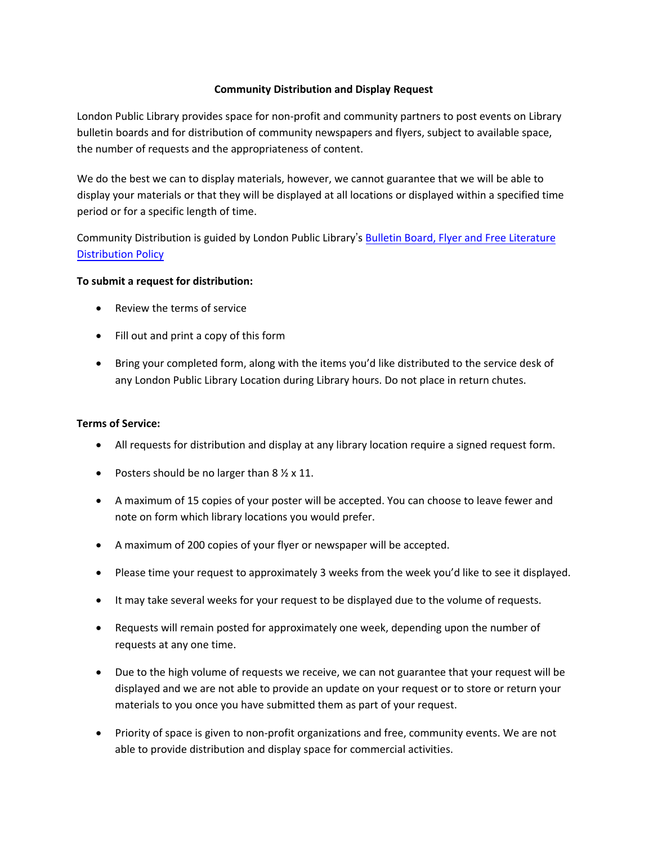## **Community Distribution and Display Request**

London Public Library provides space for non-profit and community partners to post events on Library bulletin boards and for distribution of community newspapers and flyers, subject to available space, the number of requests and the appropriateness of content.

We do the best we can to display materials, however, we cannot guarantee that we will be able to display your materials or that they will be displayed at all locations or displayed within a specified time period or for a specific length of time.

Community Distribution is guided by London Public Library's [Bulletin Board,](https://www.londonpubliclibrary.ca/sites/default/files/Bulletin%2520Board,%2520Flyer%2520and%2520Free%2520Literature%2520Distribution%2520Policy.pdf) Flyer and Free Literature [Distribution Policy](https://www.londonpubliclibrary.ca/sites/default/files/Bulletin%2520Board,%2520Flyer%2520and%2520Free%2520Literature%2520Distribution%2520Policy.pdf) 

### **To submit a request for distribution:**

- Review the terms of service
- Fill out and print a copy of this form
- Bring your completed form, along with the items you'd like distributed to the service desk of any London Public Library Location during Library hours. Do not place in return chutes.

## **Terms of Service:**

- All requests for distribution and display at any library location require a signed request form.
- Posters should be no larger than  $8\frac{1}{2} \times 11$ .
- A maximum of 15 copies of your poster will be accepted. You can choose to leave fewer and note on form which library locations you would prefer.
- A maximum of 200 copies of your flyer or newspaper will be accepted.
- Please time your request to approximately 3 weeks from the week you'd like to see it displayed.
- It may take several weeks for your request to be displayed due to the volume of requests.
- Requests will remain posted for approximately one week, depending upon the number of requests at any one time.
- Due to the high volume of requests we receive, we can not guarantee that your request will be displayed and we are not able to provide an update on your request or to store or return your materials to you once you have submitted them as part of your request.
- Priority of space is given to non-profit organizations and free, community events. We are not able to provide distribution and display space for commercial activities.